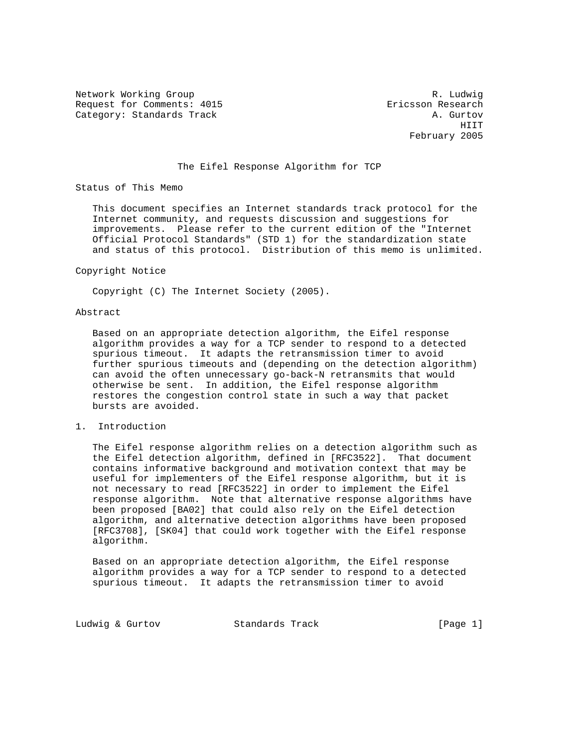Network Working Group and the set of the set of the set of the R. Ludwig Request for Comments: 4015 Ericsson Research Category: Standards Track A. Gurtov A. Gurtov

https://www.com/communications/communications/communications/communications/communications/communications/comm February 2005

# The Eifel Response Algorithm for TCP

Status of This Memo

 This document specifies an Internet standards track protocol for the Internet community, and requests discussion and suggestions for improvements. Please refer to the current edition of the "Internet Official Protocol Standards" (STD 1) for the standardization state and status of this protocol. Distribution of this memo is unlimited.

#### Copyright Notice

Copyright (C) The Internet Society (2005).

#### Abstract

 Based on an appropriate detection algorithm, the Eifel response algorithm provides a way for a TCP sender to respond to a detected spurious timeout. It adapts the retransmission timer to avoid further spurious timeouts and (depending on the detection algorithm) can avoid the often unnecessary go-back-N retransmits that would otherwise be sent. In addition, the Eifel response algorithm restores the congestion control state in such a way that packet bursts are avoided.

# 1. Introduction

 The Eifel response algorithm relies on a detection algorithm such as the Eifel detection algorithm, defined in [RFC3522]. That document contains informative background and motivation context that may be useful for implementers of the Eifel response algorithm, but it is not necessary to read [RFC3522] in order to implement the Eifel response algorithm. Note that alternative response algorithms have been proposed [BA02] that could also rely on the Eifel detection algorithm, and alternative detection algorithms have been proposed [RFC3708], [SK04] that could work together with the Eifel response algorithm.

 Based on an appropriate detection algorithm, the Eifel response algorithm provides a way for a TCP sender to respond to a detected spurious timeout. It adapts the retransmission timer to avoid

Ludwig & Gurtov Standards Track [Page 1]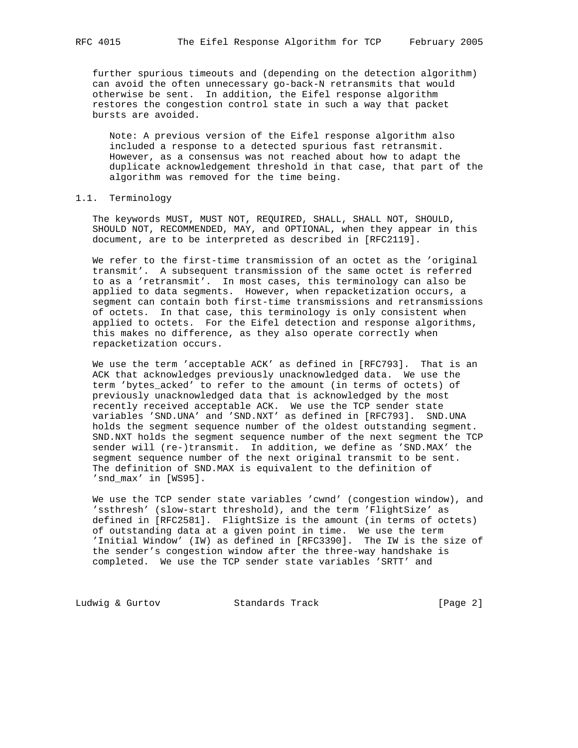further spurious timeouts and (depending on the detection algorithm) can avoid the often unnecessary go-back-N retransmits that would otherwise be sent. In addition, the Eifel response algorithm restores the congestion control state in such a way that packet bursts are avoided.

 Note: A previous version of the Eifel response algorithm also included a response to a detected spurious fast retransmit. However, as a consensus was not reached about how to adapt the duplicate acknowledgement threshold in that case, that part of the algorithm was removed for the time being.

# 1.1. Terminology

 The keywords MUST, MUST NOT, REQUIRED, SHALL, SHALL NOT, SHOULD, SHOULD NOT, RECOMMENDED, MAY, and OPTIONAL, when they appear in this document, are to be interpreted as described in [RFC2119].

 We refer to the first-time transmission of an octet as the 'original transmit'. A subsequent transmission of the same octet is referred to as a 'retransmit'. In most cases, this terminology can also be applied to data segments. However, when repacketization occurs, a segment can contain both first-time transmissions and retransmissions of octets. In that case, this terminology is only consistent when applied to octets. For the Eifel detection and response algorithms, this makes no difference, as they also operate correctly when repacketization occurs.

 We use the term 'acceptable ACK' as defined in [RFC793]. That is an ACK that acknowledges previously unacknowledged data. We use the term 'bytes acked' to refer to the amount (in terms of octets) of previously unacknowledged data that is acknowledged by the most recently received acceptable ACK. We use the TCP sender state variables 'SND.UNA' and 'SND.NXT' as defined in [RFC793]. SND.UNA holds the segment sequence number of the oldest outstanding segment. SND.NXT holds the segment sequence number of the next segment the TCP sender will (re-)transmit. In addition, we define as 'SND.MAX' the segment sequence number of the next original transmit to be sent. The definition of SND.MAX is equivalent to the definition of 'snd\_max' in [WS95].

 We use the TCP sender state variables 'cwnd' (congestion window), and 'ssthresh' (slow-start threshold), and the term 'FlightSize' as defined in [RFC2581]. FlightSize is the amount (in terms of octets) of outstanding data at a given point in time. We use the term 'Initial Window' (IW) as defined in [RFC3390]. The IW is the size of the sender's congestion window after the three-way handshake is completed. We use the TCP sender state variables 'SRTT' and

Ludwig & Gurtov Standards Track [Page 2]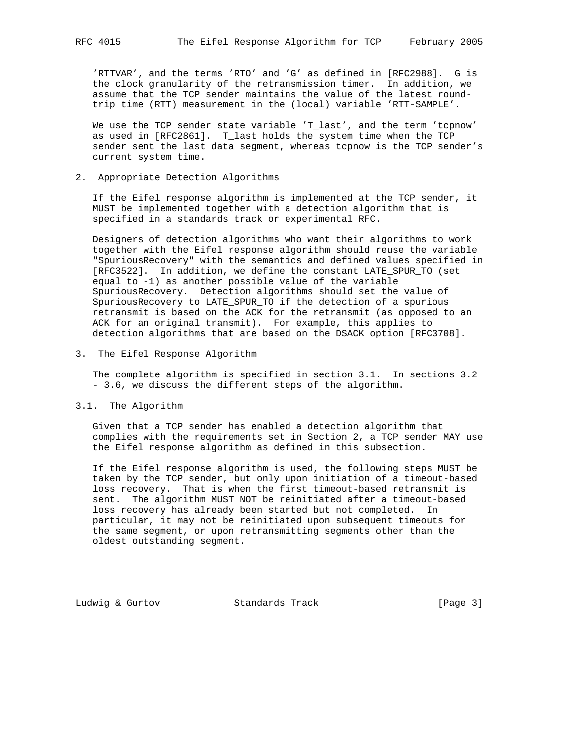'RTTVAR', and the terms 'RTO' and 'G' as defined in [RFC2988]. G is the clock granularity of the retransmission timer. In addition, we assume that the TCP sender maintains the value of the latest round trip time (RTT) measurement in the (local) variable 'RTT-SAMPLE'.

We use the TCP sender state variable 'T\_last', and the term 'tcpnow' as used in [RFC2861]. T\_last holds the system time when the TCP sender sent the last data segment, whereas tcpnow is the TCP sender's current system time.

2. Appropriate Detection Algorithms

 If the Eifel response algorithm is implemented at the TCP sender, it MUST be implemented together with a detection algorithm that is specified in a standards track or experimental RFC.

 Designers of detection algorithms who want their algorithms to work together with the Eifel response algorithm should reuse the variable "SpuriousRecovery" with the semantics and defined values specified in [RFC3522]. In addition, we define the constant LATE\_SPUR\_TO (set equal to -1) as another possible value of the variable SpuriousRecovery. Detection algorithms should set the value of SpuriousRecovery to LATE\_SPUR\_TO if the detection of a spurious retransmit is based on the ACK for the retransmit (as opposed to an ACK for an original transmit). For example, this applies to detection algorithms that are based on the DSACK option [RFC3708].

3. The Eifel Response Algorithm

 The complete algorithm is specified in section 3.1. In sections 3.2 - 3.6, we discuss the different steps of the algorithm.

3.1. The Algorithm

 Given that a TCP sender has enabled a detection algorithm that complies with the requirements set in Section 2, a TCP sender MAY use the Eifel response algorithm as defined in this subsection.

 If the Eifel response algorithm is used, the following steps MUST be taken by the TCP sender, but only upon initiation of a timeout-based loss recovery. That is when the first timeout-based retransmit is sent. The algorithm MUST NOT be reinitiated after a timeout-based loss recovery has already been started but not completed. In particular, it may not be reinitiated upon subsequent timeouts for the same segment, or upon retransmitting segments other than the oldest outstanding segment.

Ludwig & Gurtov **Standards Track** [Page 3]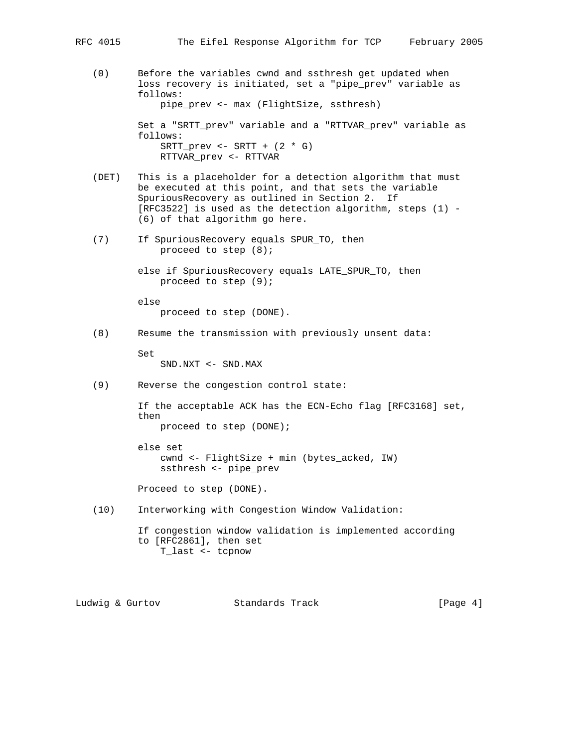- - (0) Before the variables cwnd and ssthresh get updated when loss recovery is initiated, set a "pipe\_prev" variable as follows: pipe\_prev <- max (FlightSize, ssthresh) Set a "SRTT\_prev" variable and a "RTTVAR\_prev" variable as follows:  $SRTT\_prev \leftarrow SRTT + (2 * G)$ RTTVAR\_prev <- RTTVAR
	- (DET) This is a placeholder for a detection algorithm that must be executed at this point, and that sets the variable SpuriousRecovery as outlined in Section 2. If [RFC3522] is used as the detection algorithm, steps (1) - (6) of that algorithm go here.
	- (7) If SpuriousRecovery equals SPUR\_TO, then proceed to step (8);

 else if SpuriousRecovery equals LATE\_SPUR\_TO, then proceed to step (9);

 else proceed to step (DONE).

(8) Resume the transmission with previously unsent data:

 Set SND.NXT <- SND.MAX

(9) Reverse the congestion control state:

 If the acceptable ACK has the ECN-Echo flag [RFC3168] set, then proceed to step (DONE);

```
 else set
cwnd <- FlightSize + min (bytes_acked, IW)
ssthresh <- pipe_prev
```
Proceed to step (DONE).

(10) Interworking with Congestion Window Validation:

 If congestion window validation is implemented according to [RFC2861], then set T\_last <- tcpnow

Ludwig & Gurtov Standards Track [Page 4]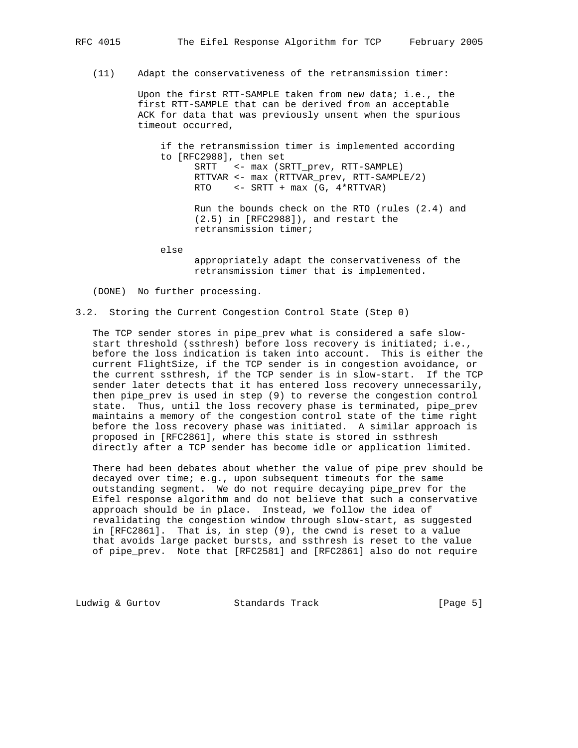(11) Adapt the conservativeness of the retransmission timer:

 Upon the first RTT-SAMPLE taken from new data; i.e., the first RTT-SAMPLE that can be derived from an acceptable ACK for data that was previously unsent when the spurious timeout occurred,

 if the retransmission timer is implemented according to [RFC2988], then set SRTT <- max (SRTT\_prev, RTT-SAMPLE) RTTVAR <- max (RTTVAR\_prev, RTT-SAMPLE/2) RTO <- SRTT + max (G, 4\*RTTVAR) Run the bounds check on the RTO (rules (2.4) and (2.5) in [RFC2988]), and restart the retransmission timer;

else

 appropriately adapt the conservativeness of the retransmission timer that is implemented.

(DONE) No further processing.

# 3.2. Storing the Current Congestion Control State (Step 0)

 The TCP sender stores in pipe\_prev what is considered a safe slow start threshold (ssthresh) before loss recovery is initiated; i.e., before the loss indication is taken into account. This is either the current FlightSize, if the TCP sender is in congestion avoidance, or the current ssthresh, if the TCP sender is in slow-start. If the TCP sender later detects that it has entered loss recovery unnecessarily, then pipe\_prev is used in step (9) to reverse the congestion control state. Thus, until the loss recovery phase is terminated, pipe\_prev maintains a memory of the congestion control state of the time right before the loss recovery phase was initiated. A similar approach is proposed in [RFC2861], where this state is stored in ssthresh directly after a TCP sender has become idle or application limited.

 There had been debates about whether the value of pipe\_prev should be decayed over time; e.g., upon subsequent timeouts for the same outstanding segment. We do not require decaying pipe\_prev for the Eifel response algorithm and do not believe that such a conservative approach should be in place. Instead, we follow the idea of revalidating the congestion window through slow-start, as suggested in [RFC2861]. That is, in step (9), the cwnd is reset to a value that avoids large packet bursts, and ssthresh is reset to the value of pipe\_prev. Note that [RFC2581] and [RFC2861] also do not require

Ludwig & Gurtov Standards Track [Page 5]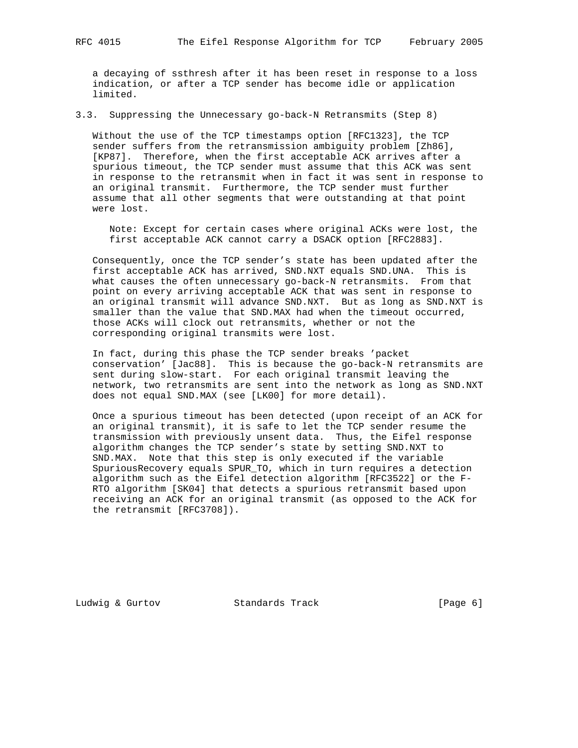a decaying of ssthresh after it has been reset in response to a loss indication, or after a TCP sender has become idle or application limited.

3.3. Suppressing the Unnecessary go-back-N Retransmits (Step 8)

 Without the use of the TCP timestamps option [RFC1323], the TCP sender suffers from the retransmission ambiguity problem [Zh86], [KP87]. Therefore, when the first acceptable ACK arrives after a spurious timeout, the TCP sender must assume that this ACK was sent in response to the retransmit when in fact it was sent in response to an original transmit. Furthermore, the TCP sender must further assume that all other segments that were outstanding at that point were lost.

 Note: Except for certain cases where original ACKs were lost, the first acceptable ACK cannot carry a DSACK option [RFC2883].

 Consequently, once the TCP sender's state has been updated after the first acceptable ACK has arrived, SND.NXT equals SND.UNA. This is what causes the often unnecessary go-back-N retransmits. From that point on every arriving acceptable ACK that was sent in response to an original transmit will advance SND.NXT. But as long as SND.NXT is smaller than the value that SND.MAX had when the timeout occurred, those ACKs will clock out retransmits, whether or not the corresponding original transmits were lost.

 In fact, during this phase the TCP sender breaks 'packet conservation' [Jac88]. This is because the go-back-N retransmits are sent during slow-start. For each original transmit leaving the network, two retransmits are sent into the network as long as SND.NXT does not equal SND.MAX (see [LK00] for more detail).

 Once a spurious timeout has been detected (upon receipt of an ACK for an original transmit), it is safe to let the TCP sender resume the transmission with previously unsent data. Thus, the Eifel response algorithm changes the TCP sender's state by setting SND.NXT to SND.MAX. Note that this step is only executed if the variable SpuriousRecovery equals SPUR\_TO, which in turn requires a detection algorithm such as the Eifel detection algorithm [RFC3522] or the F- RTO algorithm [SK04] that detects a spurious retransmit based upon receiving an ACK for an original transmit (as opposed to the ACK for the retransmit [RFC3708]).

Ludwig & Gurtov **Standards Track** [Page 6]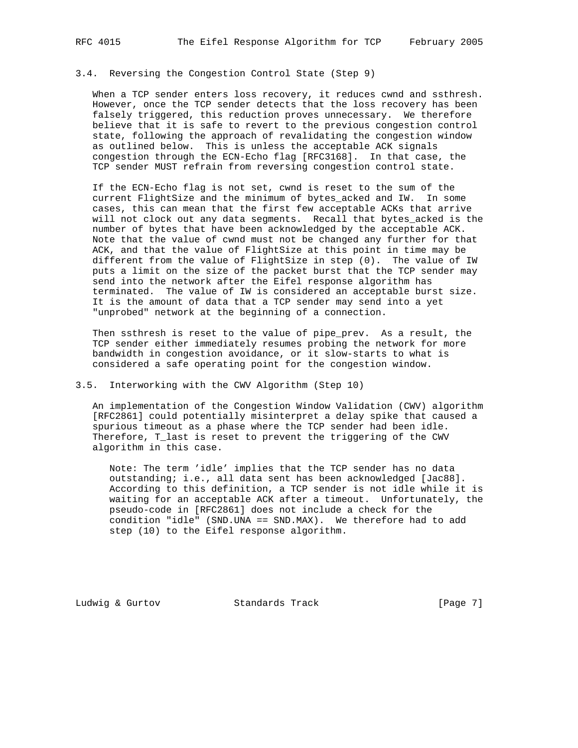When a TCP sender enters loss recovery, it reduces cwnd and ssthresh. However, once the TCP sender detects that the loss recovery has been falsely triggered, this reduction proves unnecessary. We therefore believe that it is safe to revert to the previous congestion control state, following the approach of revalidating the congestion window as outlined below. This is unless the acceptable ACK signals congestion through the ECN-Echo flag [RFC3168]. In that case, the TCP sender MUST refrain from reversing congestion control state.

 If the ECN-Echo flag is not set, cwnd is reset to the sum of the current FlightSize and the minimum of bytes\_acked and IW. In some cases, this can mean that the first few acceptable ACKs that arrive will not clock out any data segments. Recall that bytes\_acked is the number of bytes that have been acknowledged by the acceptable ACK. Note that the value of cwnd must not be changed any further for that ACK, and that the value of FlightSize at this point in time may be different from the value of FlightSize in step (0). The value of IW puts a limit on the size of the packet burst that the TCP sender may send into the network after the Eifel response algorithm has terminated. The value of IW is considered an acceptable burst size. It is the amount of data that a TCP sender may send into a yet "unprobed" network at the beginning of a connection.

 Then ssthresh is reset to the value of pipe\_prev. As a result, the TCP sender either immediately resumes probing the network for more bandwidth in congestion avoidance, or it slow-starts to what is considered a safe operating point for the congestion window.

3.5. Interworking with the CWV Algorithm (Step 10)

 An implementation of the Congestion Window Validation (CWV) algorithm [RFC2861] could potentially misinterpret a delay spike that caused a spurious timeout as a phase where the TCP sender had been idle. Therefore, T\_last is reset to prevent the triggering of the CWV algorithm in this case.

 Note: The term 'idle' implies that the TCP sender has no data outstanding; i.e., all data sent has been acknowledged [Jac88]. According to this definition, a TCP sender is not idle while it is waiting for an acceptable ACK after a timeout. Unfortunately, the pseudo-code in [RFC2861] does not include a check for the condition "idle" (SND.UNA == SND.MAX). We therefore had to add step (10) to the Eifel response algorithm.

Ludwig & Gurtov Standards Track [Page 7]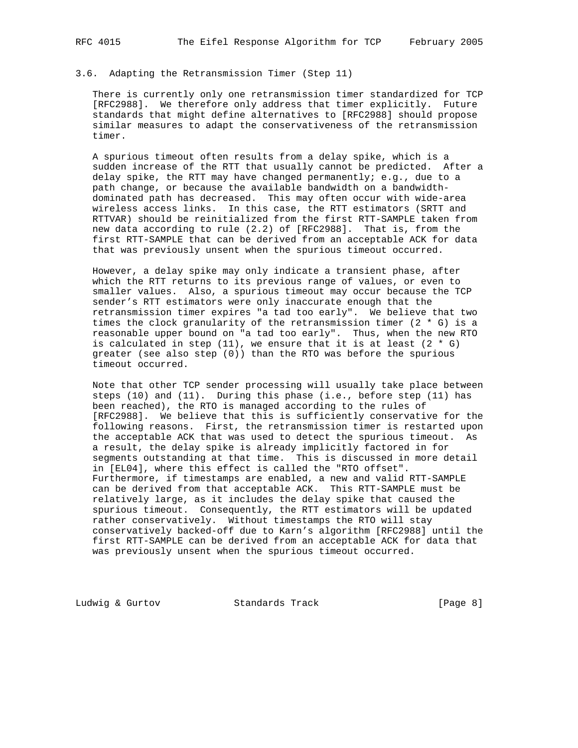# 3.6. Adapting the Retransmission Timer (Step 11)

 There is currently only one retransmission timer standardized for TCP [RFC2988]. We therefore only address that timer explicitly. Future standards that might define alternatives to [RFC2988] should propose similar measures to adapt the conservativeness of the retransmission timer.

 A spurious timeout often results from a delay spike, which is a sudden increase of the RTT that usually cannot be predicted. After a delay spike, the RTT may have changed permanently; e.g., due to a path change, or because the available bandwidth on a bandwidth dominated path has decreased. This may often occur with wide-area wireless access links. In this case, the RTT estimators (SRTT and RTTVAR) should be reinitialized from the first RTT-SAMPLE taken from new data according to rule (2.2) of [RFC2988]. That is, from the first RTT-SAMPLE that can be derived from an acceptable ACK for data that was previously unsent when the spurious timeout occurred.

 However, a delay spike may only indicate a transient phase, after which the RTT returns to its previous range of values, or even to smaller values. Also, a spurious timeout may occur because the TCP sender's RTT estimators were only inaccurate enough that the retransmission timer expires "a tad too early". We believe that two times the clock granularity of the retransmission timer (2  $*$  G) is a reasonable upper bound on "a tad too early". Thus, when the new RTO is calculated in step  $(11)$ , we ensure that it is at least  $(2 * G)$  greater (see also step (0)) than the RTO was before the spurious timeout occurred.

 Note that other TCP sender processing will usually take place between steps (10) and (11). During this phase (i.e., before step (11) has been reached), the RTO is managed according to the rules of [RFC2988]. We believe that this is sufficiently conservative for the following reasons. First, the retransmission timer is restarted upon the acceptable ACK that was used to detect the spurious timeout. As a result, the delay spike is already implicitly factored in for segments outstanding at that time. This is discussed in more detail in [EL04], where this effect is called the "RTO offset". Furthermore, if timestamps are enabled, a new and valid RTT-SAMPLE can be derived from that acceptable ACK. This RTT-SAMPLE must be relatively large, as it includes the delay spike that caused the spurious timeout. Consequently, the RTT estimators will be updated rather conservatively. Without timestamps the RTO will stay conservatively backed-off due to Karn's algorithm [RFC2988] until the first RTT-SAMPLE can be derived from an acceptable ACK for data that was previously unsent when the spurious timeout occurred.

Ludwig & Gurtov Standards Track [Page 8]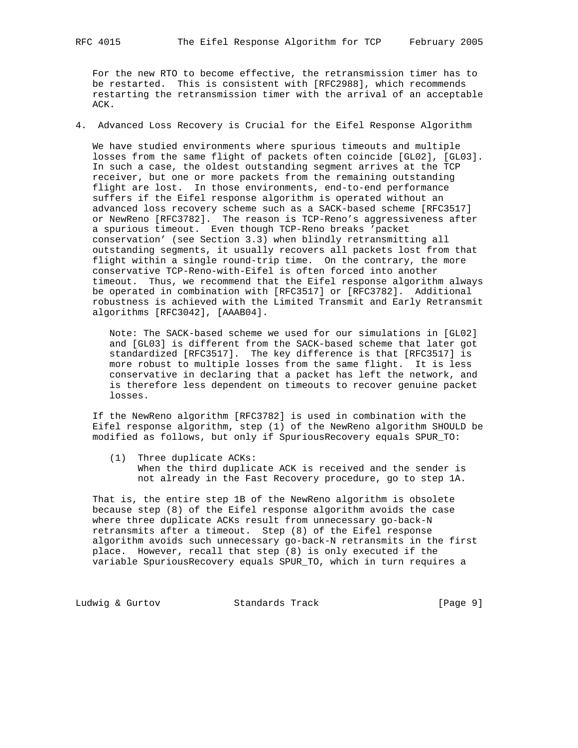For the new RTO to become effective, the retransmission timer has to be restarted. This is consistent with [RFC2988], which recommends restarting the retransmission timer with the arrival of an acceptable ACK.

4. Advanced Loss Recovery is Crucial for the Eifel Response Algorithm

 We have studied environments where spurious timeouts and multiple losses from the same flight of packets often coincide [GL02], [GL03]. In such a case, the oldest outstanding segment arrives at the TCP receiver, but one or more packets from the remaining outstanding flight are lost. In those environments, end-to-end performance suffers if the Eifel response algorithm is operated without an advanced loss recovery scheme such as a SACK-based scheme [RFC3517] or NewReno [RFC3782]. The reason is TCP-Reno's aggressiveness after a spurious timeout. Even though TCP-Reno breaks 'packet conservation' (see Section 3.3) when blindly retransmitting all outstanding segments, it usually recovers all packets lost from that flight within a single round-trip time. On the contrary, the more conservative TCP-Reno-with-Eifel is often forced into another timeout. Thus, we recommend that the Eifel response algorithm always be operated in combination with [RFC3517] or [RFC3782]. Additional robustness is achieved with the Limited Transmit and Early Retransmit algorithms [RFC3042], [AAAB04].

 Note: The SACK-based scheme we used for our simulations in [GL02] and [GL03] is different from the SACK-based scheme that later got standardized [RFC3517]. The key difference is that [RFC3517] is more robust to multiple losses from the same flight. It is less conservative in declaring that a packet has left the network, and is therefore less dependent on timeouts to recover genuine packet losses.

 If the NewReno algorithm [RFC3782] is used in combination with the Eifel response algorithm, step (1) of the NewReno algorithm SHOULD be modified as follows, but only if SpuriousRecovery equals SPUR\_TO:

 (1) Three duplicate ACKs: When the third duplicate ACK is received and the sender is not already in the Fast Recovery procedure, go to step 1A.

 That is, the entire step 1B of the NewReno algorithm is obsolete because step (8) of the Eifel response algorithm avoids the case where three duplicate ACKs result from unnecessary go-back-N retransmits after a timeout. Step (8) of the Eifel response algorithm avoids such unnecessary go-back-N retransmits in the first place. However, recall that step (8) is only executed if the variable SpuriousRecovery equals SPUR\_TO, which in turn requires a

Ludwig & Gurtov **Standards Track** [Page 9]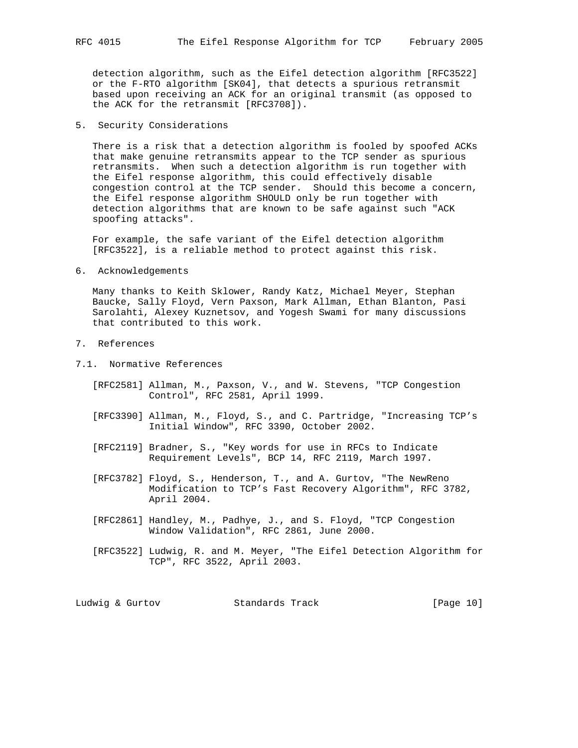detection algorithm, such as the Eifel detection algorithm [RFC3522] or the F-RTO algorithm [SK04], that detects a spurious retransmit based upon receiving an ACK for an original transmit (as opposed to the ACK for the retransmit [RFC3708]).

5. Security Considerations

 There is a risk that a detection algorithm is fooled by spoofed ACKs that make genuine retransmits appear to the TCP sender as spurious retransmits. When such a detection algorithm is run together with the Eifel response algorithm, this could effectively disable congestion control at the TCP sender. Should this become a concern, the Eifel response algorithm SHOULD only be run together with detection algorithms that are known to be safe against such "ACK spoofing attacks".

 For example, the safe variant of the Eifel detection algorithm [RFC3522], is a reliable method to protect against this risk.

6. Acknowledgements

 Many thanks to Keith Sklower, Randy Katz, Michael Meyer, Stephan Baucke, Sally Floyd, Vern Paxson, Mark Allman, Ethan Blanton, Pasi Sarolahti, Alexey Kuznetsov, and Yogesh Swami for many discussions that contributed to this work.

- 7. References
- 7.1. Normative References
	- [RFC2581] Allman, M., Paxson, V., and W. Stevens, "TCP Congestion Control", RFC 2581, April 1999.
	- [RFC3390] Allman, M., Floyd, S., and C. Partridge, "Increasing TCP's Initial Window", RFC 3390, October 2002.
	- [RFC2119] Bradner, S., "Key words for use in RFCs to Indicate Requirement Levels", BCP 14, RFC 2119, March 1997.
	- [RFC3782] Floyd, S., Henderson, T., and A. Gurtov, "The NewReno Modification to TCP's Fast Recovery Algorithm", RFC 3782, April 2004.
	- [RFC2861] Handley, M., Padhye, J., and S. Floyd, "TCP Congestion Window Validation", RFC 2861, June 2000.
	- [RFC3522] Ludwig, R. and M. Meyer, "The Eifel Detection Algorithm for TCP", RFC 3522, April 2003.

| Ludwig & Gurtov |  | Standards Track |  | [Page 10] |  |  |
|-----------------|--|-----------------|--|-----------|--|--|
|-----------------|--|-----------------|--|-----------|--|--|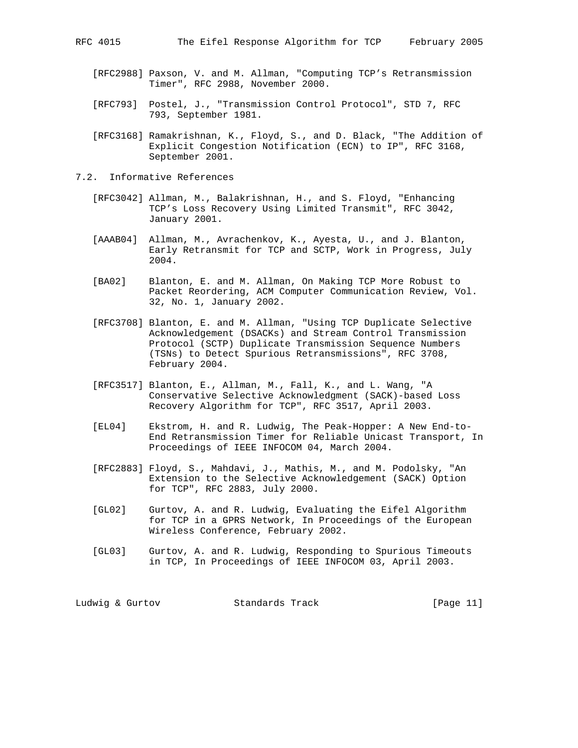- [RFC2988] Paxson, V. and M. Allman, "Computing TCP's Retransmission Timer", RFC 2988, November 2000.
- [RFC793] Postel, J., "Transmission Control Protocol", STD 7, RFC 793, September 1981.
- [RFC3168] Ramakrishnan, K., Floyd, S., and D. Black, "The Addition of Explicit Congestion Notification (ECN) to IP", RFC 3168, September 2001.
- 7.2. Informative References
	- [RFC3042] Allman, M., Balakrishnan, H., and S. Floyd, "Enhancing TCP's Loss Recovery Using Limited Transmit", RFC 3042, January 2001.
	- [AAAB04] Allman, M., Avrachenkov, K., Ayesta, U., and J. Blanton, Early Retransmit for TCP and SCTP, Work in Progress, July 2004.
	- [BA02] Blanton, E. and M. Allman, On Making TCP More Robust to Packet Reordering, ACM Computer Communication Review, Vol. 32, No. 1, January 2002.
	- [RFC3708] Blanton, E. and M. Allman, "Using TCP Duplicate Selective Acknowledgement (DSACKs) and Stream Control Transmission Protocol (SCTP) Duplicate Transmission Sequence Numbers (TSNs) to Detect Spurious Retransmissions", RFC 3708, February 2004.
	- [RFC3517] Blanton, E., Allman, M., Fall, K., and L. Wang, "A Conservative Selective Acknowledgment (SACK)-based Loss Recovery Algorithm for TCP", RFC 3517, April 2003.
	- [EL04] Ekstrom, H. and R. Ludwig, The Peak-Hopper: A New End-to- End Retransmission Timer for Reliable Unicast Transport, In Proceedings of IEEE INFOCOM 04, March 2004.
	- [RFC2883] Floyd, S., Mahdavi, J., Mathis, M., and M. Podolsky, "An Extension to the Selective Acknowledgement (SACK) Option for TCP", RFC 2883, July 2000.
	- [GL02] Gurtov, A. and R. Ludwig, Evaluating the Eifel Algorithm for TCP in a GPRS Network, In Proceedings of the European Wireless Conference, February 2002.
	- [GL03] Gurtov, A. and R. Ludwig, Responding to Spurious Timeouts in TCP, In Proceedings of IEEE INFOCOM 03, April 2003.

Ludwig & Gurtov Standards Track [Page 11]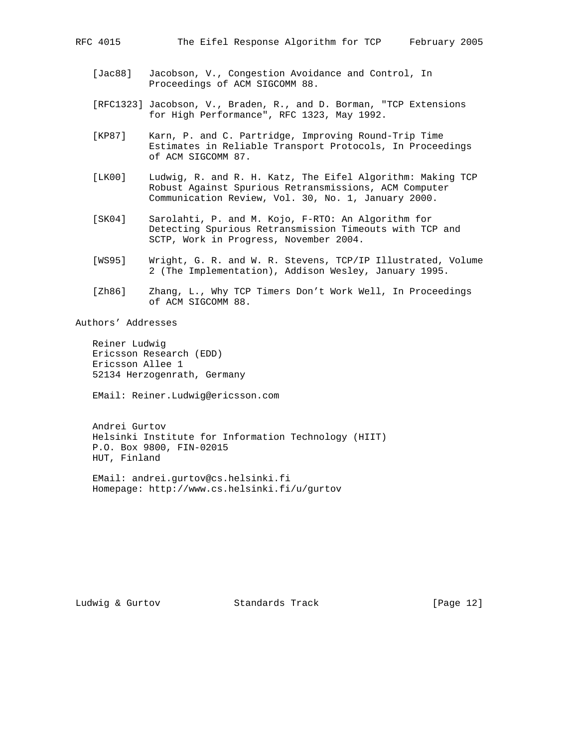- [Jac88] Jacobson, V., Congestion Avoidance and Control, In Proceedings of ACM SIGCOMM 88.
- [RFC1323] Jacobson, V., Braden, R., and D. Borman, "TCP Extensions for High Performance", RFC 1323, May 1992.
- [KP87] Karn, P. and C. Partridge, Improving Round-Trip Time Estimates in Reliable Transport Protocols, In Proceedings of ACM SIGCOMM 87.
- [LK00] Ludwig, R. and R. H. Katz, The Eifel Algorithm: Making TCP Robust Against Spurious Retransmissions, ACM Computer Communication Review, Vol. 30, No. 1, January 2000.
- [SK04] Sarolahti, P. and M. Kojo, F-RTO: An Algorithm for Detecting Spurious Retransmission Timeouts with TCP and SCTP, Work in Progress, November 2004.
- [WS95] Wright, G. R. and W. R. Stevens, TCP/IP Illustrated, Volume 2 (The Implementation), Addison Wesley, January 1995.
- [Zh86] Zhang, L., Why TCP Timers Don't Work Well, In Proceedings of ACM SIGCOMM 88.

Authors' Addresses

 Reiner Ludwig Ericsson Research (EDD) Ericsson Allee 1 52134 Herzogenrath, Germany

EMail: Reiner.Ludwig@ericsson.com

 Andrei Gurtov Helsinki Institute for Information Technology (HIIT) P.O. Box 9800, FIN-02015 HUT, Finland

 EMail: andrei.gurtov@cs.helsinki.fi Homepage: http://www.cs.helsinki.fi/u/gurtov

Ludwig & Gurtov Standards Track [Page 12]